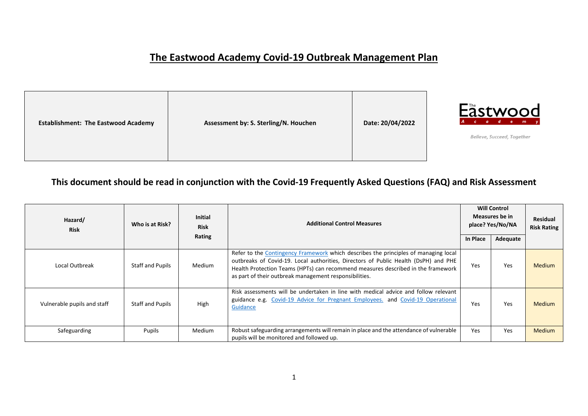## **The Eastwood Academy Covid-19 Outbreak Management Plan**

| Assessment by: S. Sterling/N. Houchen<br><b>Establishment: The Eastwood Academy</b> | Date: 20/04/2022 |
|-------------------------------------------------------------------------------------|------------------|
|-------------------------------------------------------------------------------------|------------------|



Believe, Succeed, Together

## **This document should be read in conjunction with the Covid-19 Frequently Asked Questions (FAQ) and Risk Assessment**

| Hazard/<br><b>Risk</b>      | Who is at Risk?  | <b>Initial</b><br><b>Risk</b><br>Rating | <b>Additional Control Measures</b>                                                                                                                                                                                                                                                                                       | <b>Will Control</b><br>Measures be in<br>place? Yes/No/NA<br>In Place<br>Adequate |            | <b>Residual</b><br><b>Risk Rating</b> |
|-----------------------------|------------------|-----------------------------------------|--------------------------------------------------------------------------------------------------------------------------------------------------------------------------------------------------------------------------------------------------------------------------------------------------------------------------|-----------------------------------------------------------------------------------|------------|---------------------------------------|
| Local Outbreak              | Staff and Pupils | Medium                                  | Refer to the Contingency Framework which describes the principles of managing local<br>outbreaks of Covid-19. Local authorities, Directors of Public Health (DsPH) and PHE<br>Health Protection Teams (HPTs) can recommend measures described in the framework<br>as part of their outbreak management responsibilities. | Yes                                                                               | <b>Yes</b> | <b>Medium</b>                         |
| Vulnerable pupils and staff | Staff and Pupils | High                                    | Risk assessments will be undertaken in line with medical advice and follow relevant<br>guidance e.g. Covid-19 Advice for Pregnant Employees. and Covid-19 Operational<br>Guidance                                                                                                                                        | Yes                                                                               | <b>Yes</b> | <b>Medium</b>                         |
| Safeguarding                | Pupils           | Medium                                  | Robust safeguarding arrangements will remain in place and the attendance of vulnerable<br>pupils will be monitored and followed up.                                                                                                                                                                                      | Yes                                                                               | <b>Yes</b> | <b>Medium</b>                         |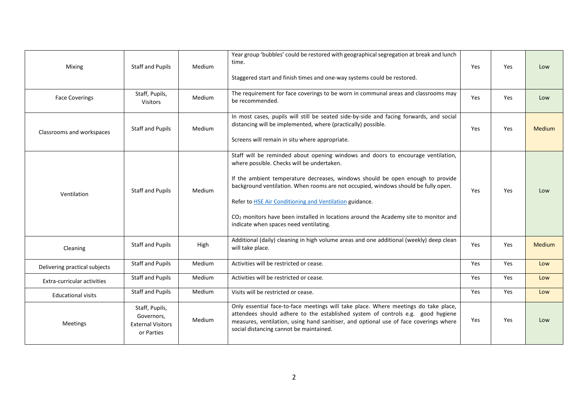| Mixing<br><b>Face Coverings</b> | Staff and Pupils<br>Staff, Pupils,<br><b>Visitors</b>                  | <b>Medium</b><br>Medium | Year group 'bubbles' could be restored with geographical segregation at break and lunch<br>time.<br>Staggered start and finish times and one-way systems could be restored.<br>The requirement for face coverings to be worn in communal areas and classrooms may<br>be recommended.                                                                                                                                                                                                                          | Yes<br>Yes | Yes<br>Yes | Low<br>Low    |
|---------------------------------|------------------------------------------------------------------------|-------------------------|---------------------------------------------------------------------------------------------------------------------------------------------------------------------------------------------------------------------------------------------------------------------------------------------------------------------------------------------------------------------------------------------------------------------------------------------------------------------------------------------------------------|------------|------------|---------------|
| Classrooms and workspaces       | Staff and Pupils                                                       | <b>Medium</b>           | In most cases, pupils will still be seated side-by-side and facing forwards, and social<br>distancing will be implemented, where (practically) possible.<br>Screens will remain in situ where appropriate.                                                                                                                                                                                                                                                                                                    | Yes        | Yes        | <b>Medium</b> |
| Ventilation                     | Staff and Pupils                                                       | Medium                  | Staff will be reminded about opening windows and doors to encourage ventilation,<br>where possible. Checks will be undertaken.<br>If the ambient temperature decreases, windows should be open enough to provide<br>background ventilation. When rooms are not occupied, windows should be fully open.<br>Refer to <b>HSE Air Conditioning and Ventilation guidance</b> .<br>$CO2$ monitors have been installed in locations around the Academy site to monitor and<br>indicate when spaces need ventilating. | Yes        | Yes.       | Low           |
| Cleaning                        | <b>Staff and Pupils</b>                                                | High                    | Additional (daily) cleaning in high volume areas and one additional (weekly) deep clean<br>will take place.                                                                                                                                                                                                                                                                                                                                                                                                   | Yes        | Yes        | <b>Medium</b> |
| Delivering practical subjects   | Staff and Pupils                                                       | Medium                  | Activities will be restricted or cease.                                                                                                                                                                                                                                                                                                                                                                                                                                                                       | Yes        | Yes        | Low           |
| Extra-curricular activities     | Staff and Pupils                                                       | Medium                  | Activities will be restricted or cease.                                                                                                                                                                                                                                                                                                                                                                                                                                                                       | Yes        | Yes        | Low           |
| <b>Educational visits</b>       | Staff and Pupils                                                       | Medium                  | Visits will be restricted or cease.                                                                                                                                                                                                                                                                                                                                                                                                                                                                           | Yes        | Yes        | Low           |
| <b>Meetings</b>                 | Staff, Pupils,<br>Governors,<br><b>External Visitors</b><br>or Parties | <b>Medium</b>           | Only essential face-to-face meetings will take place. Where meetings do take place,<br>attendees should adhere to the established system of controls e.g. good hygiene<br>measures, ventilation, using hand sanitiser, and optional use of face coverings where<br>social distancing cannot be maintained.                                                                                                                                                                                                    | Yes        | Yes        | Low           |